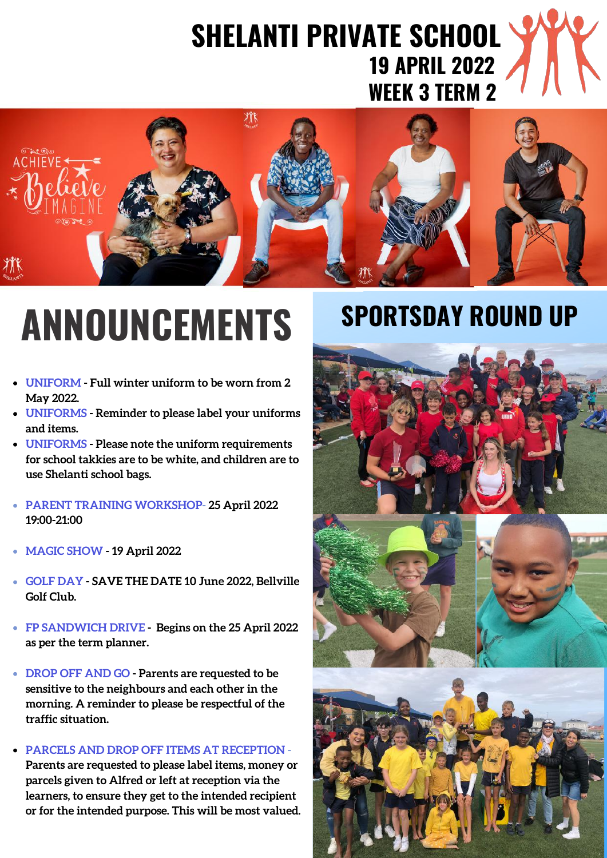# **SHELANTI PRIVATE SCHOOL 19 APRIL 2022 WEEK 3 TERM 2**



# **ANNOUNCEMENTS**

- **UNIFORM - Full winter uniform to be worn from 2 May 2022.**
- **UNIFORMS - Reminder to please label your uniforms and items.**
- **UNIFORMS - Please note the uniform requirements for school takkies are to be white, and children are to use Shelanti school bags.**
- **PARENT TRAINING WORKSHOP- 25 April 2022 19:00-21:00**
- **MAGIC SHOW - 19 April 2022**
- **GOLF DAY - SAVE THE DATE 10 June 2022, Bellville Golf Club.**
- **FP SANDWICH DRIVE - Begins on the 25 April 2022 as per the term planner.**
- **DROP OFF AND GO - Parents are requested to be sensitive to the neighbours and each other in the morning. A reminder to please be respectful of the traffic situation.**
- **PARCELS AND DROP OFF ITEMS AT RECEPTION - Parents are requested to please label items, money or parcels given to Alfred or left at reception via the learners, to ensure they get to the intended recipient or for the intended purpose. This will be most valued.**

# **SPORTSDAY ROUND UP**

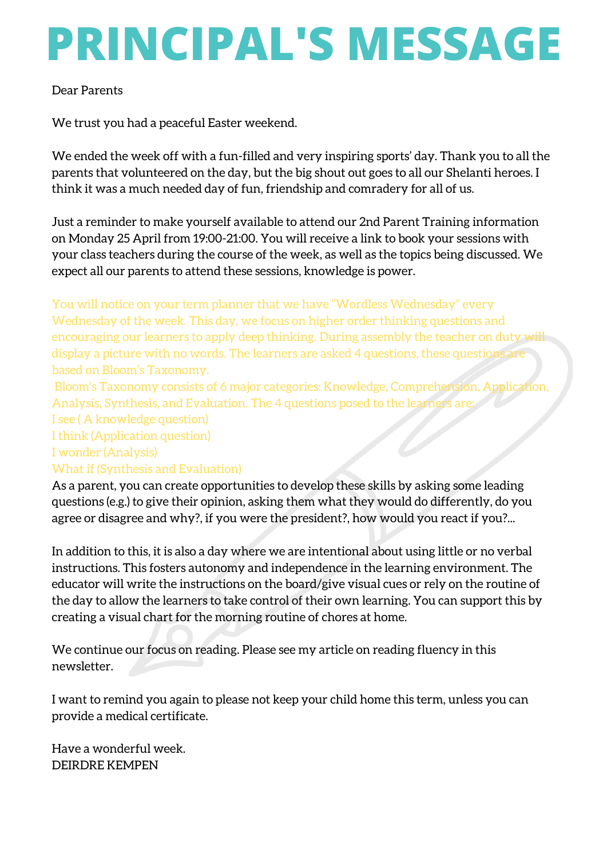# **PRINCIPAL'S MESSAGE**

#### Dear Parents

We trust you had a peaceful Easter weekend.

We ended the week off with a fun-filled and very inspiring sports' day. Thank you to all the parents that volunteered on the day, but the big shout out goes to all our Shelanti heroes. I think it was a much needed day of fun, friendship and comradery for all of us.

Just a reminder to make yourself available to attend our 2nd Parent Training information on Monday 25 April from 19:00-21:00. You will receive a link to book your sessions with your class teachers during the course of the week, as well as the topics being discussed. We expect all our parents to attend these sessions, knowledge is power.

You will notice on your term planner that we have "Wordless Wednesday" every Wednesday of the week. This day, we focus on higher order thinking questions and encouraging our learners to apply deep thinking. During assembly the teacher on duty will display a picture with no words. The learners are asked 4 questions, these questions are based on Bloom's Taxonomy.

Bloom's Taxonomy consists of 6 major categories: Knowledge, Comprehension, Application, Analysis, Synthesis, and Evaluation. The 4 questions posed to the learners are:

I see ( A knowledge question)

I think (Application question)

I wonder (Analysis)

#### What if (Synthesis and Evaluation)

As a parent, you can create opportunities to develop these skills by asking some leading questions (e.g.) to give their opinion, asking them what they would do differently, do you agree or disagree and why?, if you were the president?, how would you react if you?...

In addition to this, it is also a day where we are intentional about using little or no verbal instructions. This fosters autonomy and independence in the learning environment. The educator will write the instructions on the board/give visual cues or rely on the routine of the day to allow the learners to take control of their own learning. You can support this by creating a visual chart for the morning routine of chores at home.

We continue our focus on reading. Please see my article on reading fluency in this newsletter.

I want to remind you again to please not keep your child home this term, unless you can provide a medical certificate.

Have a wonderful week. DEIRDRE KEMPEN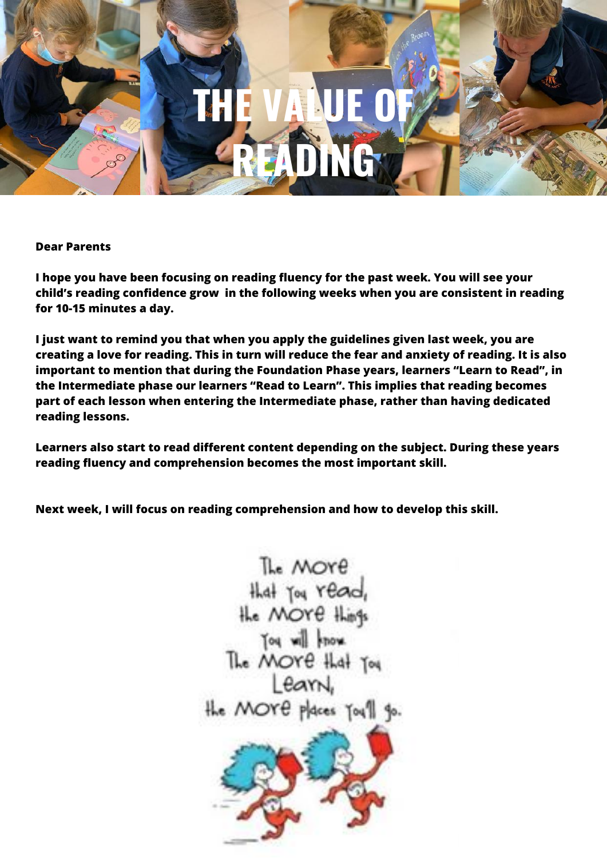

#### **Dear Parents**

**I hope you have been focusing on reading fluency for the past week. You will see your child's reading confidence grow in the following weeks when you are consistent in reading for 10-15 minutes a day.**

**I just want to remind you that when you apply the guidelines given last week, you are creating a love for reading. This in turn will reduce the fear and anxiety of reading. It is also important to mention that during the Foundation Phase years, learners "Learn to Read", in the Intermediate phase our learners "Read to Learn". This implies that reading becomes part of each lesson when entering the Intermediate phase, rather than having dedicated reading lessons.**

**Learners also start to read different content depending on the subject. During these years reading fluency and comprehension becomes the most important skill.**

**Next week, I will focus on reading comprehension and how to develop this skill.**

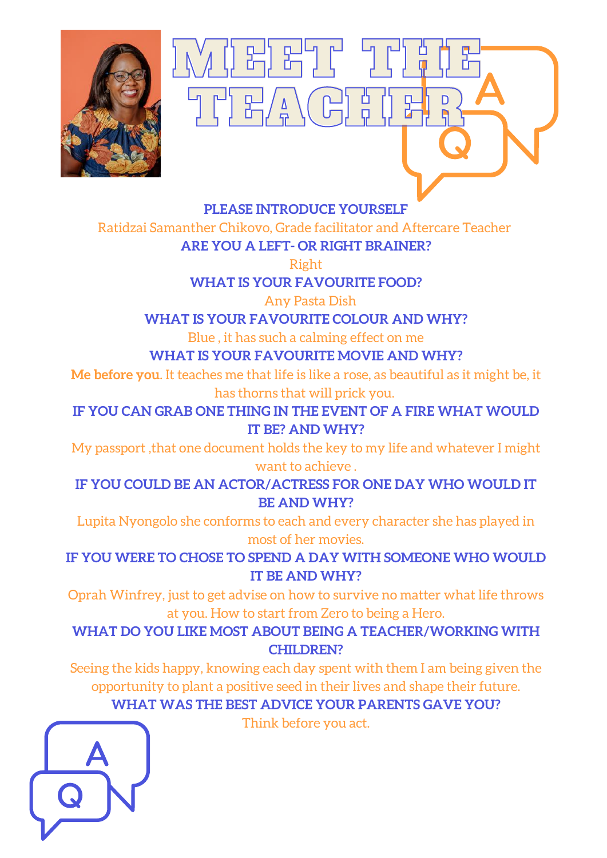

### **PLEASE INTRODUCE YOURSELF**

UVUDEDETTI TUTTU 19

THEACHEUR?

Ratidzai Samanther Chikovo, Grade facilitator and Aftercare Teacher

**ARE YOU A LEFT- OR RIGHT BRAINER?**

#### Right

**WHAT IS YOUR FAVOURITE FOOD?**

Any Pasta Dish

### **WHAT IS YOUR FAVOURITE COLOUR AND WHY?**

Blue , it has such a calming effect on me

## **WHAT IS YOUR FAVOURITE MOVIE AND WHY?**

**Me before you**. It teaches me that life is like a rose, as beautiful as it might be, it has thorns that will prick you.

**IF YOU CAN GRAB ONE THING IN THE EVENT OF A FIRE WHAT WOULD IT BE? AND WHY?**

My passport ,that one document holds the key to my life and whatever I might want to achieve .

**IF YOU COULD BE AN ACTOR/ACTRESS FOR ONE DAY WHO WOULD IT BE AND WHY?**

Lupita Nyongolo she conforms to each and every character she has played in most of her movies.

**IF YOU WERE TO CHOSE TO SPEND A DAY WITH SOMEONE WHO WOULD IT BE AND WHY?**

Oprah Winfrey, just to get advise on how to survive no matter what life throws at you. How to start from Zero to being a Hero.

**WHAT DO YOU LIKE MOST ABOUT BEING A TEACHER/WORKING WITH CHILDREN?**

Seeing the kids happy, knowing each day spent with them I am being given the opportunity to plant a positive seed in their lives and shape their future.

## **WHAT WAS THE BEST ADVICE YOUR PARENTS GAVE YOU?**

Think before you act.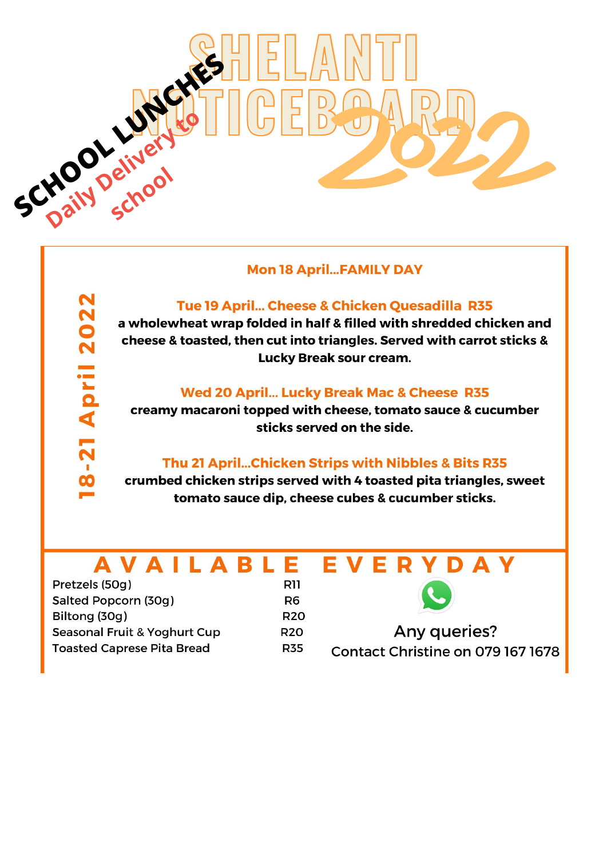

#### **Mon 18 April...FAMILY DAY**

#### Tue 19 April... Cheese & Chicken Quesadilla R35

a wholewheat wrap folded in half & filled with shredded chicken and cheese & toasted, then cut into triangles. Served with carrot sticks & Lucky Break sour cream.

#### Wed 20 April... Lucky Break Mac & Cheese R35

creamy macaroni topped with cheese, tomato sauce & cucumber sticks served on the side.

#### Thu 21 April...Chicken Strips with Nibbles & Bits R35

crumbed chicken strips served with 4 toasted pita triangles, sweet tomato sauce dip, cheese cubes & cucumber sticks.

#### **AVAILABL** E EVER D A V

Pretzels (50g) Salted Popcorn (30g) Biltong (30g) Seasonal Fruit & Yoghurt Cup **Toasted Caprese Pita Bread** 

**R11** R<sub>6</sub> **R20 R20 R35** 



**Any queries?** Contact Christine on 079 167 1678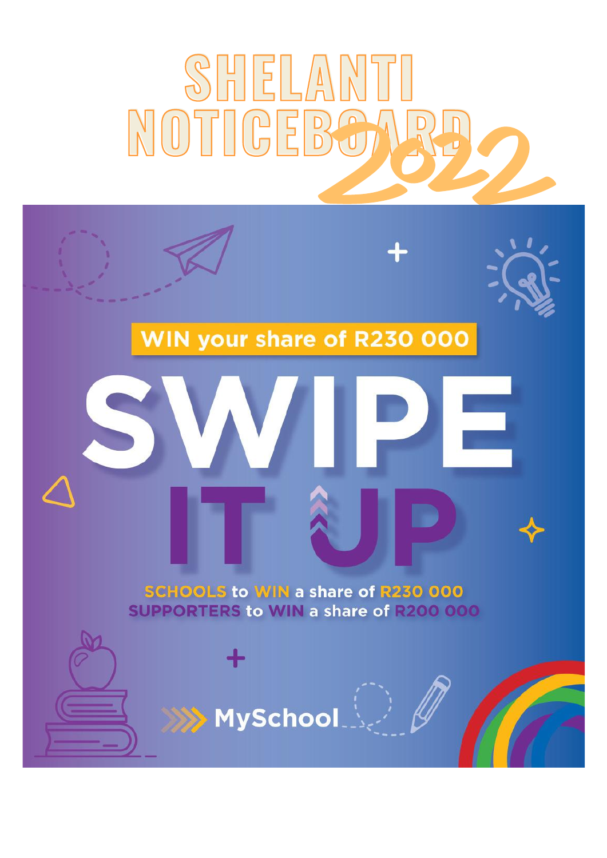

# WIN your share of R230 000



**SCHOOLS to WIN a share of R230 000 SUPPORTERS to WIN a share of R200 000** 

 $\mathsf{Myschool}(\mathbb{R})$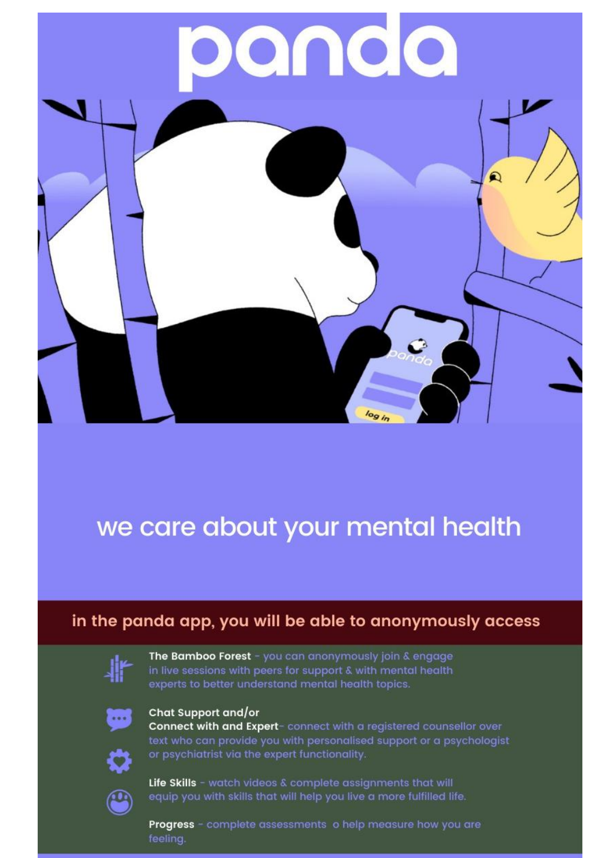

# we care about your mental health

## in the panda app, you will be able to anonymously access



The Bamboo Forest - you can anonymously join & engage in live sessions with peers for support & with mental health experts to better understand mental health topics.



#### Chat Support and/or

Connect with and Expert-connect with a registered counsellor over text who can provide you with personalised support or a psychologist or psychiatrist via the expert functionality.



Q

Life Skills - watch videos & complete assignments that will equip you with skills that will help you live a more fulfilled life.

Progress - complete assessments o help measure how you are feeling.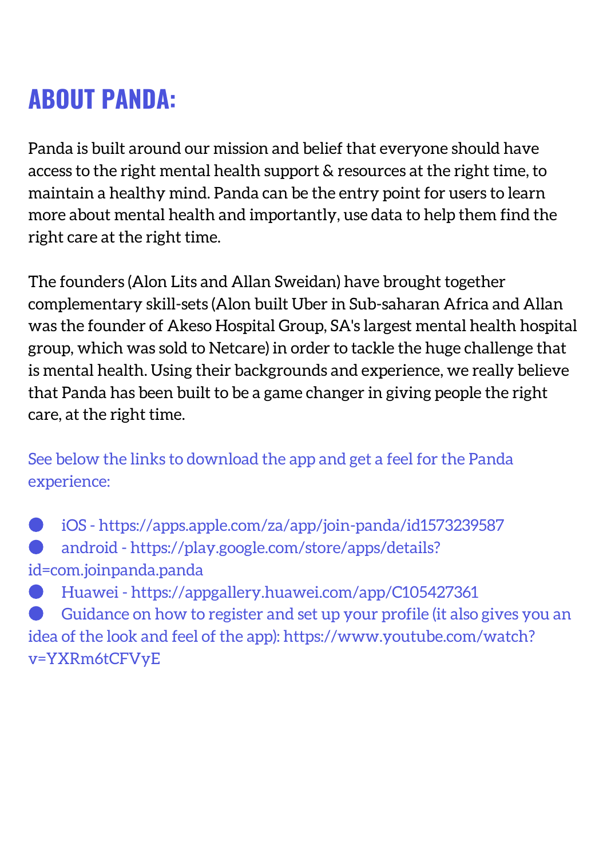# **ABOUT PANDA:**

Panda is built around our mission and belief that everyone should have access to the right mental health support & resources at the right time, to maintain a healthy mind. Panda can be the entry point for users to learn more about mental health and importantly, use data to help them find the right care at the right time.

The founders (Alon Lits and Allan Sweidan) have brought together complementary skill-sets (Alon built Uber in Sub-saharan Africa and Allan was the founder of Akeso Hospital Group, SA's largest mental health hospital group, which was sold to Netcare) in order to tackle the huge challenge that is mental health. Using their backgrounds and experience, we really believe that Panda has been built to be a game changer in giving people the right care, at the right time.

See below the links to download the app and get a feel for the Panda experience:

● iOS - <https://apps.apple.com/za/app/join-panda/id1573239587> android - [https://play.google.com/store/apps/details?](https://play.google.com/store/apps/details?id=com.joinpanda.panda) id=com.joinpanda.panda

● Huawei - <https://appgallery.huawei.com/app/C105427361> Guidance on how to register and set up your profile (it also gives you an idea of the look and feel of the app): [https://www.youtube.com/watch?](https://www.youtube.com/watch?v=YXRm6tCFVyE) v=YXRm6tCFVyE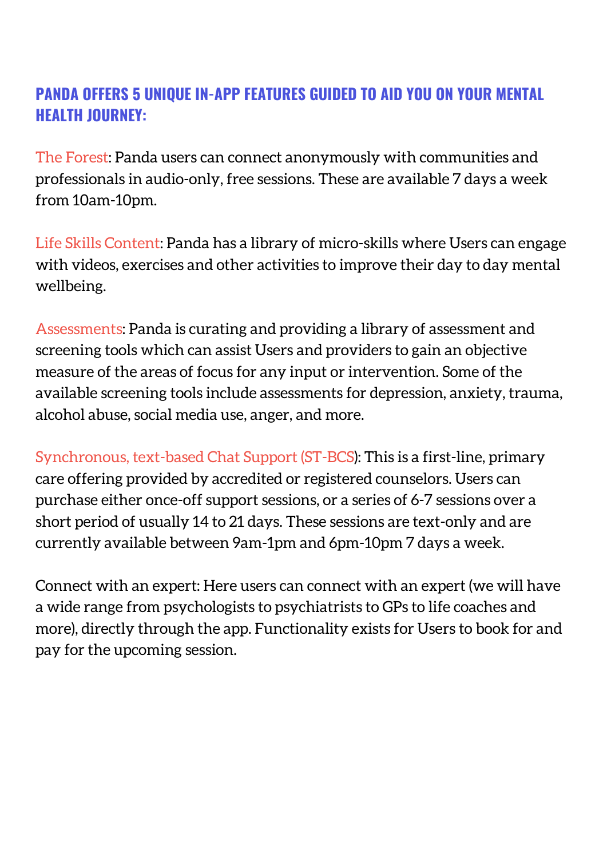## **PANDA OFFERS 5 UNIQUE IN-APP FEATURES GUIDED TO AID YOU ON YOUR MENTAL HEALTH JOURNEY:**

The Forest: Panda users can connect anonymously with communities and professionals in audio-only, free sessions. These are available 7 days a week from 10am-10pm.

Life Skills Content: Panda has a library of micro-skills where Users can engage with videos, exercises and other activities to improve their day to day mental wellbeing.

Assessments: Panda is curating and providing a library of assessment and screening tools which can assist Users and providers to gain an objective measure of the areas of focus for any input or intervention. Some of the available screening tools include assessments for depression, anxiety, trauma, alcohol abuse, social media use, anger, and more.

Synchronous, text-based Chat Support (ST-BCS): This is a first-line, primary care offering provided by accredited or registered counselors. Users can purchase either once-off support sessions, or a series of 6-7 sessions over a short period of usually 14 to 21 days. These sessions are text-only and are currently available between 9am-1pm and 6pm-10pm 7 days a week.

Connect with an expert: Here users can connect with an expert (we will have a wide range from psychologists to psychiatrists to GPs to life coaches and more), directly through the app. Functionality exists for Users to book for and pay for the upcoming session.